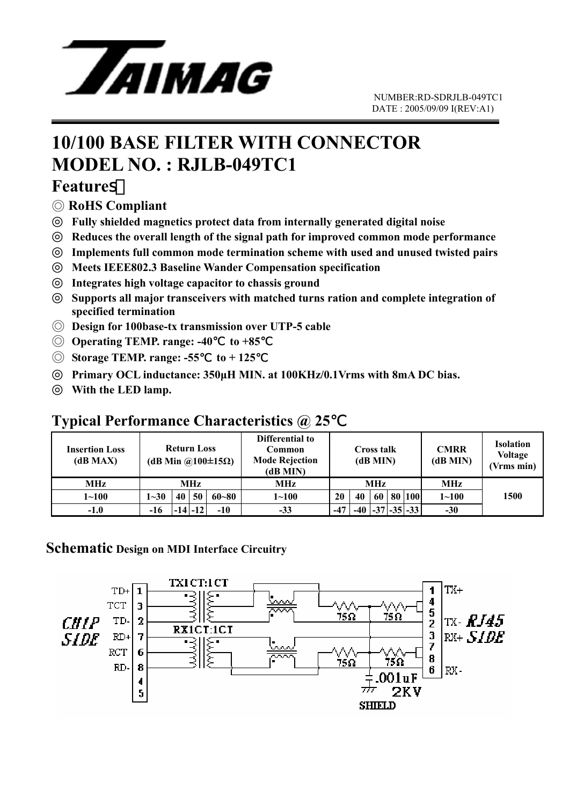

## **10/100 BASE FILTER WITH CONNECTOR MODEL NO. : RJLB-049TC1**

#### **Features**

◎ **RoHS Compliant** 

◎ **Fully shielded magnetics protect data from internally generated digital noise**  Reduces the overall length of the signal path for improved common mode performance Implements full common mode termination scheme with used and unused twisted pairs ◎ **Meets IEEE802.3 Baseline Wander Compensation specification**  ◎ **Integrates high voltage capacitor to chassis ground** 

Supports all major transceivers with matched turns ration and complete integration of **specified termination** 

- ◎ **Design for 100base-tx transmission over UTP-5 cable**
- ◎ **Operating TEMP. range: -40**℃ **to +85**℃
- ◎ **Storage TEMP. range: -55**℃ **to + 125**℃

◎ **Primary OCL inductance: 350µH MIN. at 100KHz/0.1Vrms with 8mA DC bias.**  With the LED lamp.

#### **Typical Performance Characteristics @ 25**℃

| Insertion Loss<br>(dB MAX) | <b>Return Loss</b><br>(dB Min @100 $\pm$ 15 $\Omega$ ) |    |             |           | Differential to<br>Common<br><b>Mode Rejection</b><br>(dB MIN) | Cross talk<br>(dB MIN) |       |    |  | <b>CMRR</b><br>(dB MIN) | <b>Isolation</b><br><b>Voltage</b><br>(Vrms min) |      |
|----------------------------|--------------------------------------------------------|----|-------------|-----------|----------------------------------------------------------------|------------------------|-------|----|--|-------------------------|--------------------------------------------------|------|
| <b>MHz</b>                 | MHz                                                    |    |             |           | MHz                                                            | MHz                    |       |    |  |                         | <b>MHz</b>                                       |      |
| $1 - 100$                  | $1 - 30$                                               | 40 | 50          | $60 - 80$ | $1 \!\!\sim\!\! 100$                                           | 20                     | 40    | 60 |  | 80 100                  | $1 - 100$                                        | 1500 |
| $-1.0$                     | $-16$                                                  |    | $-14$ $-12$ | $-10$     | $-33$                                                          | $-47$                  | $-40$ |    |  | $-37$ $-35$ $-33$       | $-30$                                            |      |

#### **Schematic Design on MDI Interface Circuitry**

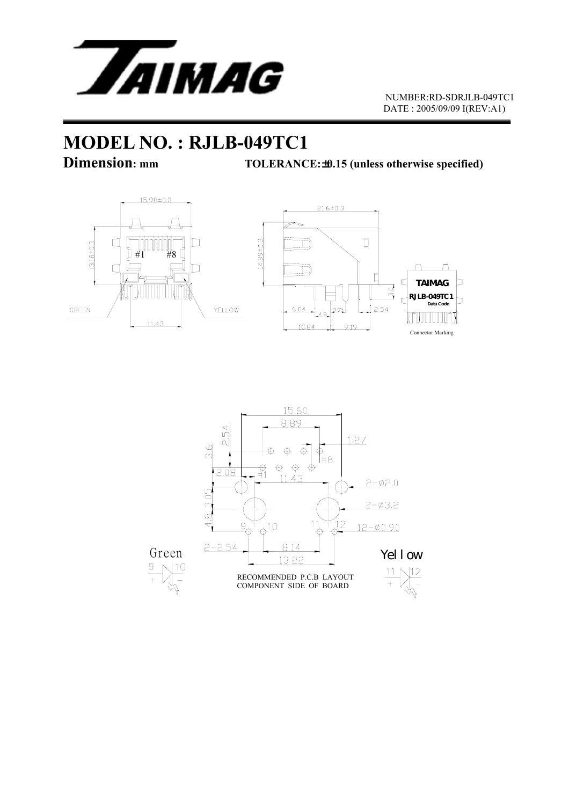

# **MODEL NO. : RJLB-049TC1**<br>Dimension: mm<br>TOLERANC

**TOLERANCE:**  $±0.15$  (unless otherwise specified)



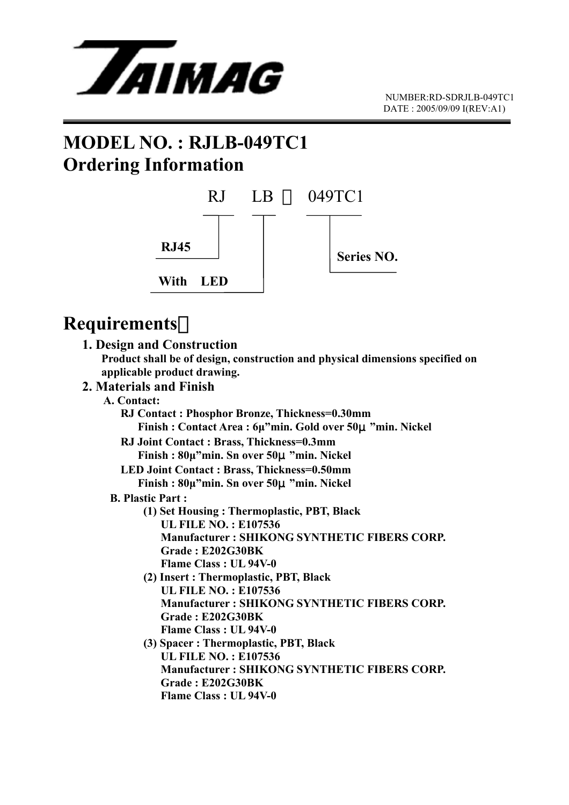

## **MODEL NO. : RJLB-049TC1 Ordering Information**



## **Requirements**:

#### **1. Design and Construction**

 **Product shall be of design, construction and physical dimensions specified on applicable product drawing.** 

#### **2. Materials and Finish**

#### **A. Contact:**

 **RJ Contact : Phosphor Bronze, Thickness=0.30mm Finish : Contact Area : 6µ"min. Gold over 50**μ**"min. Nickel RJ Joint Contact : Brass, Thickness=0.3mm Finish : 80µ"min. Sn over 50**μ**"min. Nickel LED Joint Contact : Brass, Thickness=0.50mm Finish : 80µ"min. Sn over 50**μ**"min. Nickel B. Plastic Part : (1) Set Housing : Thermoplastic, PBT, Black UL FILE NO. : E107536 Manufacturer : SHIKONG SYNTHETIC FIBERS CORP. Grade : E202G30BK Flame Class : UL 94V-0 (2) Insert : Thermoplastic, PBT, Black UL FILE NO. : E107536 Manufacturer : SHIKONG SYNTHETIC FIBERS CORP. Grade : E202G30BK Flame Class : UL 94V-0 (3) Spacer : Thermoplastic, PBT, Black UL FILE NO. : E107536 Manufacturer : SHIKONG SYNTHETIC FIBERS CORP. Grade : E202G30BK Flame Class : UL 94V-0**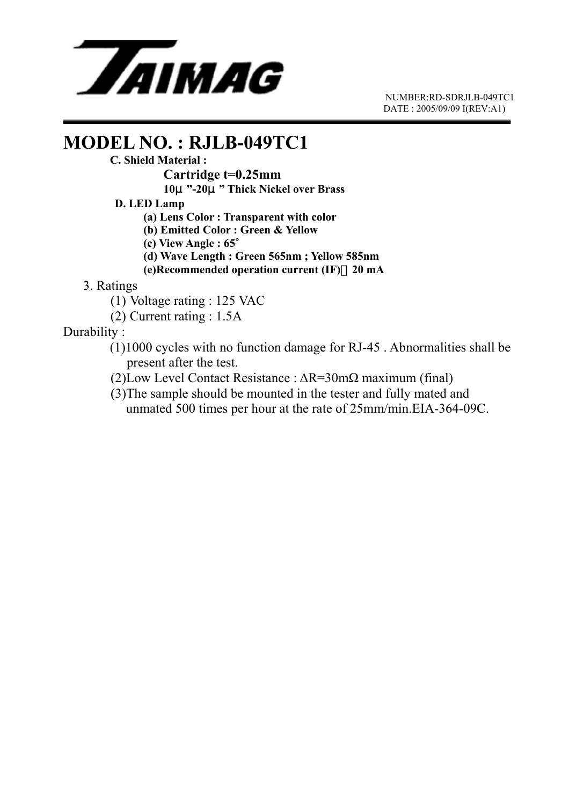

 NUMBER:RD-SDRJLB-049TC1 DATE : 2005/09/09 I(REV:A1)

### **MODEL NO. : RJLB-049TC1**

#### **C. Shield Material :**

 **Cartridge t=0.25mm** 

 **10**μ**"-20**μ**" Thick Nickel over Brass** 

 **D. LED Lamp** 

 **(a) Lens Color : Transparent with color** 

 **(b) Emitted Color : Green & Yellow** 

 **(c) View Angle : 65**∘

 **(d) Wave Length : Green 565nm ; Yellow 585nm** 

 **(e)Recommended operation current (IF)**:**20 mA**

3. Ratings

- (1) Voltage rating : 125 VAC
- (2) Current rating : 1.5A

Durability :

- (1)1000 cycles with no function damage for RJ-45 . Abnormalities shall be present after the test.
- (2)Low Level Contact Resistance : ∆R=30mΩ maximum (final)
- (3)The sample should be mounted in the tester and fully mated and unmated 500 times per hour at the rate of 25mm/min.EIA-364-09C.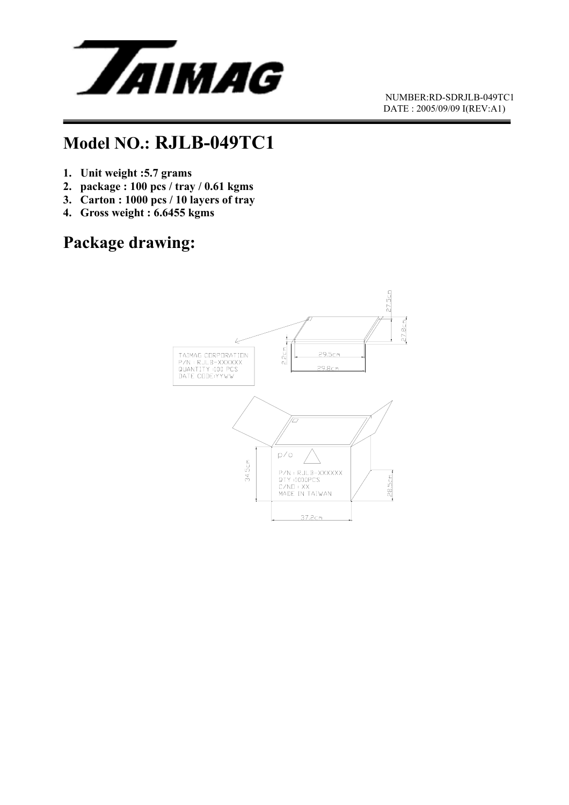

 NUMBER:RD-SDRJLB-049TC1 DATE : 2005/09/09 I(REV:A1)

## **Model NO.: RJLB-049TC1**

- **1. Unit weight :5.7 grams**
- **2. package : 100 pcs / tray / 0.61 kgms**
- **3. Carton : 1000 pcs / 10 layers of tray**
- **4. Gross weight : 6.6455 kgms**

## **Package drawing:**